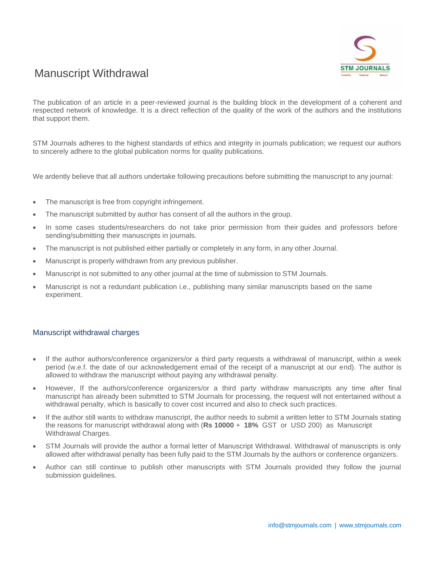

# Manuscript Withdrawal

The publication of an article in a peer-reviewed journal is the building block in the development of a coherent and respected network of knowledge. It is a direct reflection of the quality of the work of the authors and the institutions that support them.

STM Journals adheres to the highest standards of ethics and integrity in journals publication; we request our authors to sincerely adhere to the global publication norms for quality publications.

We ardently believe that all authors undertake following precautions before submitting the manuscript to any journal:

- The manuscript is free from copyright infringement.
- The manuscript submitted by author has consent of all the authors in the group.
- In some cases students/researchers do not take prior permission from their guides and professors before sending/submitting their manuscripts in journals.
- The manuscript is not published either partially or completely in any form, in any other Journal.
- Manuscript is properly withdrawn from any previous publisher.
- Manuscript is not submitted to any other journal at the time of submission to STM Journals.
- Manuscript is not a redundant publication i.e., publishing many similar manuscripts based on the same experiment.

#### Manuscript withdrawal charges

- If the author authors/conference organizers/or a third party requests a withdrawal of manuscript, within a week period (w.e.f. the date of our acknowledgement email of the receipt of a manuscript at our end). The author is allowed to withdraw the manuscript without paying any withdrawal penalty.
- However, If the authors/conference organizers/or a third party withdraw manuscripts any time after final manuscript has already been submitted to STM Journals for processing, the request will not entertained without a withdrawal penalty, which is basically to cover cost incurred and also to check such practices.
- If the author still wants to withdraw manuscript, the author needs to submit a written letter to STM Journals stating the reasons for manuscript withdrawal along with (**Rs 10000** + **18%** GST or USD 200) as Manuscript Withdrawal Charges.
- STM Journals will provide the author a formal letter of Manuscript Withdrawal. Withdrawal of manuscripts is only allowed after withdrawal penalty has been fully paid to the STM Journals by the authors or conference organizers.
- Author can still continue to publish other manuscripts with STM Journals provided they follow the journal submission guidelines.